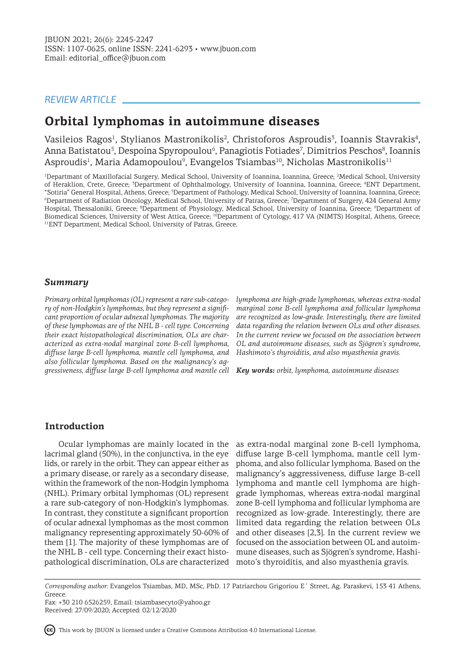## *REVIEW ARTICLE*

# **Orbital lymphomas in autoimmune diseases**

Vasileios Ragos<sup>1</sup>, Stylianos Mastronikolis<sup>2</sup>, Christoforos Asproudis<sup>3</sup>, Ioannis Stavrakis<sup>4</sup>, Anna Batistatou<sup>5</sup>, Despoina Spyropoulou<sup>6</sup>, Panagiotis Fotiades<sup>7</sup>, Dimitrios Peschos<sup>8</sup>, Ioannis Asproudis<sup>1</sup>, Maria Adamopoulou<sup>9</sup>, Evangelos Tsiambas<sup>10</sup>, Nicholas Mastronikolis<sup>11</sup>

<sup>1</sup>Departmant of Maxillofacial Surgery, Medical School, University of Ioannina, Ioannina, Greece; <sup>2</sup>Medical School, University of Heraklion, Crete, Greece; <sup>3</sup>Department of Ophthalmology, University of Ioannina, Ioannina, Greece; <sup>4</sup>ENT Department, "Sotiria" General Hospital, Athens, Greece; <sup>5</sup> Department of Pathology, Medical School, University of Ioannina, Ioannina, Greece; 6 Department of Radiation Oncology, Medical School, University of Patras, Greece; <sup>7</sup> Department of Surgery, 424 General Army Hospital, Thessaloniki, Greece; <sup>8</sup>Department of Physiology, Medical School, University of Ioannina, Greece; <sup>9</sup>Department of Biomedical Sciences, University of West Attica, Greece; <sup>10</sup>Department of Cytology, 417 VA (NIMTS) Hospital, Athens, Greece; <sup>11</sup>ENT Department, Medical School, University of Patras, Greece.

### *Summary*

*Primary orbital lymphomas (OL) represent a rare sub-category of non-Hodgkin's lymphomas, but they represent a significant proportion of ocular adnexal lymphomas. The majority of these lymphomas are of the NHL B - cell type. Concerning their exact histopathological discrimination, OLs are characterized as extra-nodal marginal zone B-cell lymphoma, diffuse large B-cell lymphoma, mantle cell lymphoma, and also follicular lymphoma. Based on the malignancy's aggressiveness, diffuse large B-cell lymphoma and mantle cell Key words: orbit, lymphoma, autoimmune diseases*

*lymphoma are high-grade lymphomas, whereas extra-nodal marginal zone B-cell lymphoma and follicular lymphoma are recognized as low-grade. Interestingly, there are limited data regarding the relation between OLs and other diseases. In the current review we focused on the association between OL and autoimmune diseases, such as Sjögren's syndrome, Hashimoto's thyroiditis, and also myasthenia gravis.* 

## **Introduction**

Ocular lymphomas are mainly located in the lacrimal gland (50%), in the conjunctiva, in the eye lids, or rarely in the orbit. They can appear either as a primary disease, or rarely as a secondary disease, within the framework of the non-Hodgin lymphoma (NHL). Primary orbital lymphomas (OL) represent a rare sub-category of non-Hodgkin's lymphomas. In contrast, they constitute a significant proportion of ocular adnexal lymphomas as the most common malignancy representing approximately 50-60% of them [1]. The majority of these lymphomas are of the NHL B - cell type. Concerning their exact histopathological discrimination, OLs are characterized moto's thyroiditis, and also myasthenia gravis.

as extra-nodal marginal zone B-cell lymphoma, diffuse large B-cell lymphoma, mantle cell lymphoma, and also follicular lymphoma. Based on the malignancy's aggressiveness, diffuse large B-cell lymphoma and mantle cell lymphoma are highgrade lymphomas, whereas extra-nodal marginal zone B-cell lymphoma and follicular lymphoma are recognized as low-grade. Interestingly, there are limited data regarding the relation between OLs and other diseases [2,3]. In the current review we focused on the association between OL and autoimmune diseases, such as Sjögren's syndrome, Hashi-

This work by JBUON is licensed under a Creative Commons Attribution 4.0 International License.

*Corresponding author:* Evangelos Tsiambas, MD, MSc, PhD. 17 Patriarchou Grigoriou E΄ Street, Ag. Paraskevi, 153 41 Athens, Greece.

Fax: +30 210 6526259, Email: tsiambasecyto@yahoo.gr Received: 27/09/2020; Accepted: 02/12/2020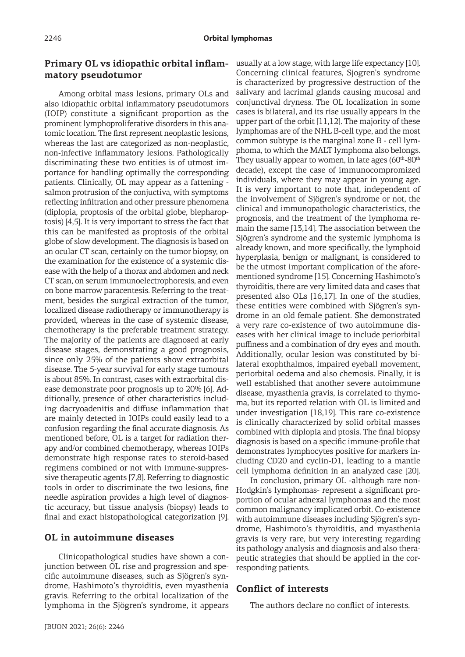# **Primary OL vs idiopathic orbital inflammatory pseudotumor**

Among orbital mass lesions, primary OLs and also idiopathic orbital inflammatory pseudotumors (IOIP) constitute a significant proportion as the prominent lymphoproliferative disorders in this anatomic location. The first represent neoplastic lesions, whereas the last are categorized as non-neoplastic, non-infective inflammatory lesions. Pathologically discriminating these two entities is of utmost importance for handling optimally the corresponding patients. Clinically, OL may appear as a fattening salmon protrusion of the conjuctiva, with symptoms reflecting infiltration and other pressure phenomena (diplopia, proptosis of the orbital globe, blepharoptosis) [4,5]. It is very important to stress the fact that this can be manifested as proptosis of the orbital globe of slow development. The diagnosis is based on an ocular CT scan, certainly on the tumor biopsy, on the examination for the existence of a systemic disease with the help of a thorax and abdomen and neck CT scan, on serum immunoelectrophoresis, and even on bone marrow paracentesis. Referring to the treatment, besides the surgical extraction of the tumor, localized disease radiotherapy or immunotherapy is provided, whereas in the case of systemic disease, chemotherapy is the preferable treatment strategy. The majority of the patients are diagnosed at early disease stages, demonstrating a good prognosis, since only 25% of the patients show extraorbital disease. The 5-year survival for early stage tumours is about 85%. In contrast, cases with extraorbital disease demonstrate poor prognosis up to 20% [6]. Additionally, presence of other characteristics including dacryoadenitis and diffuse inflammation that are mainly detected in IOIPs could easily lead to a confusion regarding the final accurate diagnosis. As mentioned before, OL is a target for radiation therapy and/or combined chemotherapy, whereas IOIPs demonstrate high response rates to steroid-based regimens combined or not with immune-suppressive therapeutic agents [7,8]. Referring to diagnostic tools in order to discriminate the two lesions, fine needle aspiration provides a high level of diagnostic accuracy, but tissue analysis (biopsy) leads to final and exact histopathological categorization [9].

### **OL in autoimmune diseases**

Clinicopathological studies have shown a conjunction between OL rise and progression and specific autoimmune diseases, such as Sjögren's syndrome, Hashimoto's thyroiditis, even myasthenia gravis. Referring to the orbital localization of the lymphoma in the Sjögren's syndrome, it appears

usually at a low stage, with large life expectancy [10]. Concerning clinical features, Sjogren's syndrome is characterized by progressive destruction of the salivary and lacrimal glands causing mucosal and conjunctival dryness. The OL localization in some cases is bilateral, and its rise usually appears in the upper part of the orbit [11,12]. The majority of these lymphomas are of the NHL B-cell type, and the most common subtype is the marginal zone B - cell lymphoma, to which the MALT lymphoma also belongs. They usually appear to women, in late ages  $(60<sup>th</sup>-80<sup>th</sup>)$ decade), except the case of immunocompromized individuals, where they may appear in young age. It is very important to note that, independent of the involvement of Sjögren's syndrome or not, the clinical and immunopathologic characteristics, the prognosis, and the treatment of the lymphoma remain the same [13,14]. The association between the Sjögren's syndrome and the systemic lymphoma is already known, and more specifically, the lymphoid hyperplasia, benign or malignant, is considered to be the utmost important complication of the aforementioned syndrome [15]. Concerning Hashimoto's thyroiditis, there are very limited data and cases that presented also OLs [16,17]. In one of the studies, these entities were combined with Sjögren's syndrome in an old female patient. She demonstrated a very rare co-existence of two autoimmune diseases with her clinical image to include periorbital puffiness and a combination of dry eyes and mouth. Additionally, ocular lesion was constituted by bilateral exophthalmos, impaired eyeball movement, periorbital oedema and also chemosis. Finally, it is well established that another severe autoimmune disease, myasthenia gravis, is correlated to thymoma, but its reported relation with OL is limited and under investigation [18,19]. This rare co-existence is clinically characterized by solid orbital masses combined with diplopia and ptosis. The final biopsy diagnosis is based on a specific immune-profile that demonstrates lymphocytes positive for markers including CD20 and cyclin-D1, leading to a mantle cell lymphoma definition in an analyzed case [20].

In conclusion, primary OL -although rare non-Hodgkin's lymphomas- represent a significant proportion of ocular adnexal lymphomas and the most common malignancy implicated orbit. Co-existence with autoimmune diseases including Sjögren's syndrome, Hashimoto's thyroiditis, and myasthenia gravis is very rare, but very interesting regarding its pathology analysis and diagnosis and also therapeutic strategies that should be applied in the corresponding patients.

### **Conflict of interests**

The authors declare no conflict of interests.